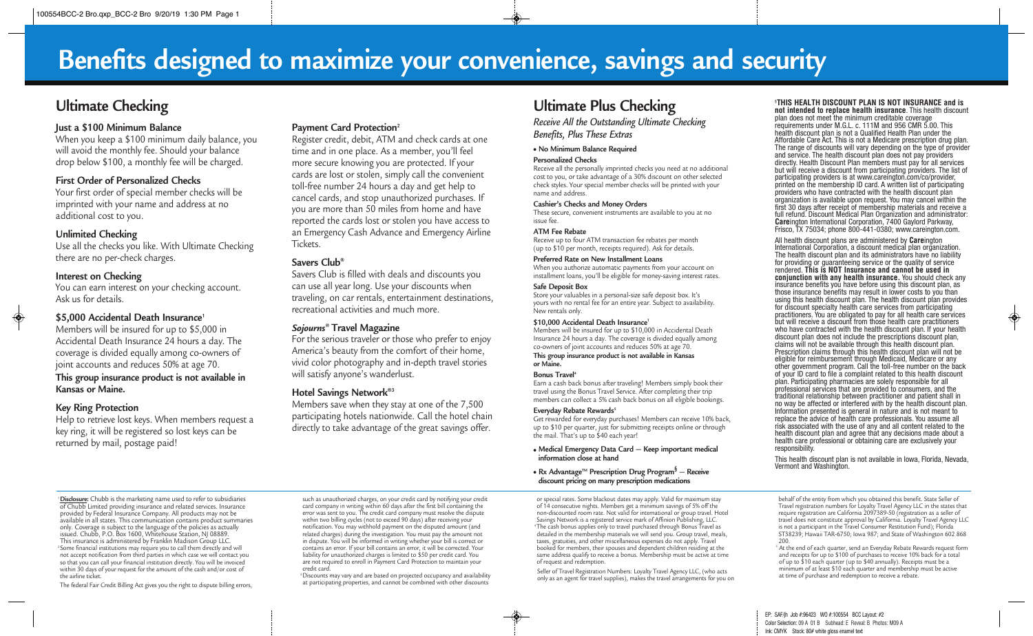# **Benefits designed to maximize your convenience, savings and security**

# **Ultimate Checking**

# **Just a \$100 Minimum Balance**

When you keep a \$100 minimum daily balance, you will avoid the monthly fee. Should your balance drop below \$100, a monthly fee will be charged.

# **First Order of Personalized Checks**

Your first order of special member checks will be imprinted with your name and address at no additional cost to you.

# **Unlimited Checking**

Use all the checks you like. With Ultimate Checking there are no per-check charges.

# **Interest on Checking**

You can earn interest on your checking account. Ask us for details.

# **\$5,000 Accidental Death Insurance1**

Members will be insured for up to \$5,000 in Accidental Death Insurance 24 hours a day. The coverage is divided equally among co-owners of joint accounts and reduces 50% at age 70.

### **This group insurance product is not available in Kansas or Maine.**

# **Key Ring Protection**

Help to retrieve lost keys. When members request a key ring, it will be registered so lost keys can be returned by mail, postage paid!

# **Payment Card Protection2**

Register credit, debit, ATM and check cards at one time and in one place. As a member, you'll feel more secure knowing you are protected. If your cards are lost or stolen, simply call the convenient toll-free number 24 hours a day and get help to cancel cards, and stop unauthorized purchases. If you are more than 50 miles from home and have reported the cards lost or stolen you have access to an Emergency Cash Advance and Emergency Airline Tickets.

### **Savers Club®**

Savers Club is filled with deals and discounts you can use all year long. Use your discounts when traveling, on car rentals, entertainment destinations, recreational activities and much more.

# *Sojourns®* **Travel Magazine**

For the serious traveler or those who prefer to enjoy America's beauty from the comfort of their home, vivid color photography and in-depth travel stories will satisfy anyone's wanderlust.

### **Hotel Savings Network®3**

Members save when they stay at one of the 7,500 participating hotels nationwide. Call the hotel chain directly to take advantage of the great savings offer.

# **Ultimate Plus Checking**

*Receive All the Outstanding Ultimate Checking Benefits, Plus These Extras*

#### ● **No Minimum Balance Required**

#### **Personalized Checks**

Receive all the personally imprinted checks you need at no additional cost to you, or take advantage of a 30% discount on other selected check styles. Your special member checks will be printed with your name and address.

#### **Cashier's Checks and Money Orders**

These secure, convenient instruments are available to you at no issue fee.

#### **ATM Fee Rebate**

Receive up to four ATM transaction fee rebates per month (up to \$10 per month, receipts required). Ask for details.

#### **Preferred Rate on New Installment Loans**

When you authorize automatic payments from your account on installment loans, you'll be eligible for money-saving interest rates.

#### **Safe Deposit Box**

Store your valuables in a personal-size safe deposit box. It's yours with no rental fee for an entire year. Subject to availability. New rentals only.

#### **\$10,000 Accidental Death Insurance1**

Members will be insured for up to \$10,000 in Accidental Death Insurance 24 hours a day. The coverage is divided equally among co-owners of joint accounts and reduces 50% at age 70. **This group insurance product is not available in Kansas or Maine.**

#### **Bonus Travel 4**

Earn a cash back bonus after traveling! Members simply book their travel using the Bonus Travel Service. After completing their trip members can collect a 5% cash back bonus on all eligible bookings.

#### **Everyday** Rebate Rewards<sup>5</sup>

Get rewarded for everyday purchases! Members can receive 10% back, up to \$10 per quarter, just for submitting receipts online or through the mail. That's up to \$40 each year!

#### ● **Medical Emergency Data Card — Keep important medical information close at hand**

● **Rx AdvantageTM Prescription Drug Program§ — Receive discount pricing on many prescription medications**

or special rates. Some blackout dates may apply. Valid for maximum stay of 14 consecutive nights. Members get a minimum savings of 5% off the non-discounted room rate. Not valid for international or group travel. Hotel Savings Network is a registered service mark of Affinion Publishing, LLC. 4The cash bonus applies only to travel purchased through Bonus Travel as detailed in the membership materials we will send you. Group travel, meals, taxes, gratuities, and other miscellaneous expenses do not apply. Travel booked for members, their spouses and dependent children residing at the same address qualify to receive a bonus. Membership must be active at time of request and redemption.

Seller of Travel Registration Numbers: Loyalty Travel Agency LLC, (who acts only as an agent for travel supplies), makes the travel arrangements for you on

# § **THIS HEALTH DISCOUNT PLAN IS NOT INSURANCE and is**

**not intended to replace health insurance**. This health discount plan does not meet the minimum creditable coverage requirements under M.G.L. c. 111M and 956 CMR 5.00. This health discount plan is not a Qualified Health Plan under the The range of discounts will vary depending on the type of provider and service. The health discount plan does not pay providers directly. Health Discount Plan members must pay for all services but will receive a discount from participating providers. The list of participating providers is at www.careington.com/co/provider, printed on the membership ID card. A written list of participating providers who have contracted with the health discount plan organization is available upon request. You may cancel within the first 30 days after receipt of membership materials and receive a full refund. Discount Medical Plan Organization and administrator: **Careington International Corporation, 7400 Gaylord Parkway, Frisco, TX 75034; phone 800-441-0380; www.careington.com.** 

All health discount plans are administered by **Care**ington The health discount plan and its administrators have no liability for providing or guaranteeing service or the quality of service rendered. **This is NOT Insurance and cannot be used in conjunction with any health insurance.** You should check any insurance benefits you have before using this discount plan, as those insurance benefits may result in lower costs to you than using this health discount plan. The health discount plan provides for discount specialty health care services from participating practitioners. You are obligated to pay for all health care services but will receive a discount from those health care practitioners who have contracted with the health discount plan. If your health discount plan does not include the prescriptions discount plan, claims will not be available through this health discount plan.<br>Prescription claims through this health discount plan will not be eligible for reimbursement through Medicaid, Medicare or any other government program. Call the toll-free number on the back of your ID card to file a complaint related to this health discount plan. Participating pharmacies are solely responsible for all professional services that are provided to consumers, and the traditional relationship between practitioner and patient shall in Information presented is general in nature and is not meant to replace the advice of health care professionals. You assume all risk associated with the use of any and all content related to the health discount plan and agree that any decisions made about a health care professional or obtaining care are exclusively your responsibility.

This health discount plan is not available in Iowa, Florida, Nevada, Vermont and Washington.

<sup>1</sup>**Disclosure:** Chubb is the marketing name used to refer to subsidiaries of Chubb Limited providing insurance and related services. Insurance provided by Federal Insurance Company. All products may not be available in all states. This communication contains product summaries only. Coverage is subject to the language of the policies as actually issued. Chubb, P.O. Box 1600, Whitehouse Station, NJ 08889. This insurance is administered by Franklin Madison Group LLC.  $2$  Some financial institutions may require you to call them directly and will not accept notification from third parties in which case we will contact you so that you can call your financial institution directly. You will be invoiced within 30 days of your request for the amount of the cash and/or cost of the airline ticket.

The federal Fair Credit Billing Act gives you the right to dispute billing errors,

such as unauthorized charges, on your credit card by notifying your credit card company in writing within 60 days after the first bill containing the error was sent to you. The credit card company must resolve the dispute within two billing cycles (not to exceed 90 days) after receiving your notification. You may withhold payment on the disputed amount (and related charges) during the investigation. You must pay the amount not in dispute. You will be informed in writing whether your bill is correct or contains an error. If your bill contains an error, it will be corrected. Your liability for unauthorized charges is limited to \$50 per credit card. You are not required to enroll in Payment Card Protection to maintain your credit card.

<sup>3</sup> Discounts may vary and are based on projected occupancy and availability at participating properties, and cannot be combined with other discounts

behalf of the entity from which you obtained this benefit. State Seller of Travel registration numbers for Loyalty Travel Agency LLC in the states that require registration are California 2097389-50 (registration as a seller of travel does not constitute approval by California. Loyalty Travel Agency LLC is not a participant in the Travel Consumer Restitution Fund); Florida ST38239; Hawaii TAR-6750; Iowa 987; and State of Washington 602 868

200.<br><sup>5</sup> At the end of each quarter, send an Everyday Rebate Rewards request form and receipts for up to \$100 of purchases to receive 10% back for a total of up to \$10 each quarter (up to \$40 annually). Receipts must be a minimum of at least \$10 each quarter and membership must be active at time of purchase and redemption to receive a rebate.